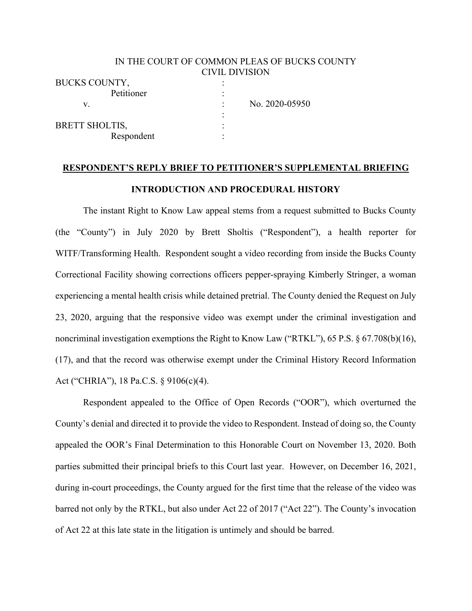### IN THE COURT OF COMMON PLEAS OF BUCKS COUNTY CIVIL DIVISION

| <b>BUCKS COUNTY,</b>  |                |
|-----------------------|----------------|
| Petitioner            |                |
| V.                    | No. 2020-05950 |
|                       |                |
| <b>BRETT SHOLTIS,</b> |                |
| Respondent            |                |

# **RESPONDENT'S REPLY BRIEF TO PETITIONER'S SUPPLEMENTAL BRIEFING INTRODUCTION AND PROCEDURAL HISTORY**

The instant Right to Know Law appeal stems from a request submitted to Bucks County (the "County") in July 2020 by Brett Sholtis ("Respondent"), a health reporter for WITF/Transforming Health. Respondent sought a video recording from inside the Bucks County Correctional Facility showing corrections officers pepper-spraying Kimberly Stringer, a woman experiencing a mental health crisis while detained pretrial. The County denied the Request on July 23, 2020, arguing that the responsive video was exempt under the criminal investigation and noncriminal investigation exemptions the Right to Know Law ("RTKL"), 65 P.S. § 67.708(b)(16), (17), and that the record was otherwise exempt under the Criminal History Record Information Act ("CHRIA"), 18 Pa.C.S. § 9106(c)(4).

Respondent appealed to the Office of Open Records ("OOR"), which overturned the County's denial and directed it to provide the video to Respondent. Instead of doing so, the County appealed the OOR's Final Determination to this Honorable Court on November 13, 2020. Both parties submitted their principal briefs to this Court last year. However, on December 16, 2021, during in-court proceedings, the County argued for the first time that the release of the video was barred not only by the RTKL, but also under Act 22 of 2017 ("Act 22"). The County's invocation of Act 22 at this late state in the litigation is untimely and should be barred.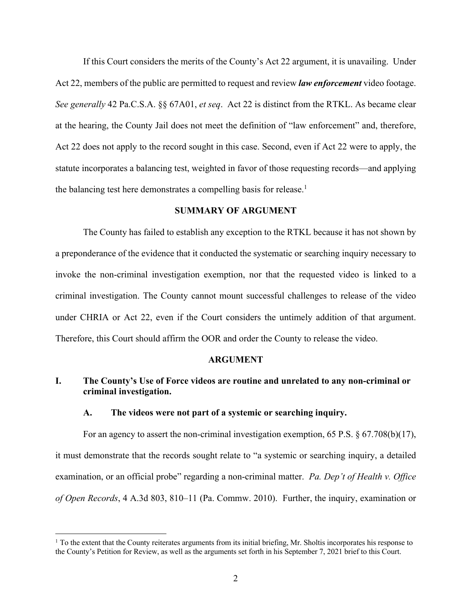If this Court considers the merits of the County's Act 22 argument, it is unavailing. Under Act 22, members of the public are permitted to request and review *law enforcement* video footage. *See generally* 42 Pa.C.S.A. §§ 67A01, *et seq*. Act 22 is distinct from the RTKL. As became clear at the hearing, the County Jail does not meet the definition of "law enforcement" and, therefore, Act 22 does not apply to the record sought in this case. Second, even if Act 22 were to apply, the statute incorporates a balancing test, weighted in favor of those requesting records—and applying the balancing test here demonstrates a compelling basis for release.<sup>1</sup>

#### **SUMMARY OF ARGUMENT**

The County has failed to establish any exception to the RTKL because it has not shown by a preponderance of the evidence that it conducted the systematic or searching inquiry necessary to invoke the non-criminal investigation exemption, nor that the requested video is linked to a criminal investigation. The County cannot mount successful challenges to release of the video under CHRIA or Act 22, even if the Court considers the untimely addition of that argument. Therefore, this Court should affirm the OOR and order the County to release the video.

#### **ARGUMENT**

## **I. The County's Use of Force videos are routine and unrelated to any non-criminal or criminal investigation.**

#### **A. The videos were not part of a systemic or searching inquiry.**

For an agency to assert the non-criminal investigation exemption, 65 P.S. § 67.708(b)(17), it must demonstrate that the records sought relate to "a systemic or searching inquiry, a detailed examination, or an official probe" regarding a non-criminal matter. *Pa. Dep't of Health v. Office of Open Records*, 4 A.3d 803, 810–11 (Pa. Commw. 2010). Further, the inquiry, examination or

<sup>&</sup>lt;sup>1</sup> To the extent that the County reiterates arguments from its initial briefing, Mr. Sholtis incorporates his response to the County's Petition for Review, as well as the arguments set forth in his September 7, 2021 brief to this Court.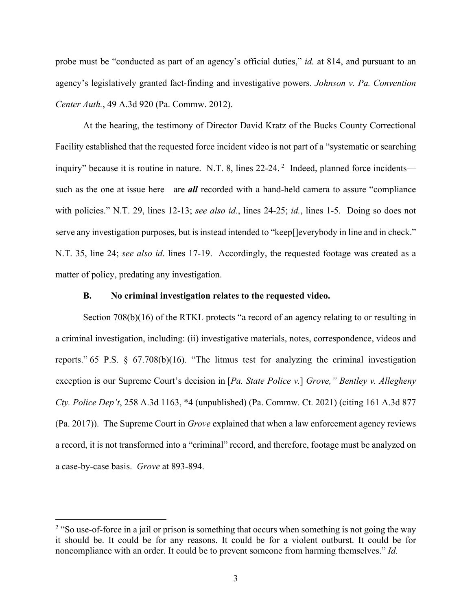probe must be "conducted as part of an agency's official duties," *id.* at 814, and pursuant to an agency's legislatively granted fact-finding and investigative powers. *Johnson v. Pa. Convention Center Auth.*, 49 A.3d 920 (Pa. Commw. 2012).

At the hearing, the testimony of Director David Kratz of the Bucks County Correctional Facility established that the requested force incident video is not part of a "systematic or searching inquiry" because it is routine in nature. N.T. 8, lines 22-24.<sup>2</sup> Indeed, planned force incidents such as the one at issue here—are *all* recorded with a hand-held camera to assure "compliance with policies." N.T. 29, lines 12-13; *see also id.*, lines 24-25; *id.*, lines 1-5. Doing so does not serve any investigation purposes, but is instead intended to "keep[]everybody in line and in check." N.T. 35, line 24; *see also id*. lines 17-19. Accordingly, the requested footage was created as a matter of policy, predating any investigation.

#### **B. No criminal investigation relates to the requested video.**

Section 708(b)(16) of the RTKL protects "a record of an agency relating to or resulting in a criminal investigation, including: (ii) investigative materials, notes, correspondence, videos and reports." 65 P.S. § 67.708(b)(16). "The litmus test for analyzing the criminal investigation exception is our Supreme Court's decision in [*Pa. State Police v.*] *Grove," Bentley v. Allegheny Cty. Police Dep't*, 258 A.3d 1163, \*4 (unpublished) (Pa. Commw. Ct. 2021) (citing 161 A.3d 877 (Pa. 2017)). The Supreme Court in *Grove* explained that when a law enforcement agency reviews a record, it is not transformed into a "criminal" record, and therefore, footage must be analyzed on a case-by-case basis. *Grove* at 893-894.

<sup>&</sup>lt;sup>2</sup> "So use-of-force in a jail or prison is something that occurs when something is not going the way it should be. It could be for any reasons. It could be for a violent outburst. It could be for noncompliance with an order. It could be to prevent someone from harming themselves." *Id.*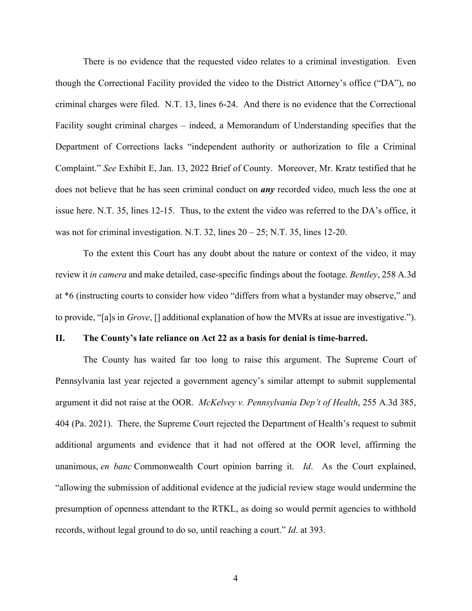There is no evidence that the requested video relates to a criminal investigation. Even though the Correctional Facility provided the video to the District Attorney's office ("DA"), no criminal charges were filed. N.T. 13, lines 6-24. And there is no evidence that the Correctional Facility sought criminal charges – indeed, a Memorandum of Understanding specifies that the Department of Corrections lacks "independent authority or authorization to file a Criminal Complaint." *See* Exhibit E, Jan. 13, 2022 Brief of County. Moreover, Mr. Kratz testified that he does not believe that he has seen criminal conduct on *any* recorded video, much less the one at issue here. N.T. 35, lines 12-15. Thus, to the extent the video was referred to the DA's office, it was not for criminal investigation. N.T. 32, lines  $20 - 25$ ; N.T. 35, lines 12-20.

To the extent this Court has any doubt about the nature or context of the video, it may review it *in camera* and make detailed, case-specific findings about the footage. *Bentley*, 258 A.3d at \*6 (instructing courts to consider how video "differs from what a bystander may observe," and to provide, "[a]s in *Grove*, [] additional explanation of how the MVRs at issue are investigative.").

#### **II. The County's late reliance on Act 22 as a basis for denial is time-barred.**

The County has waited far too long to raise this argument. The Supreme Court of Pennsylvania last year rejected a government agency's similar attempt to submit supplemental argument it did not raise at the OOR. *McKelvey v. Pennsylvania Dep't of Health*, 255 A.3d 385, 404 (Pa. 2021). There, the Supreme Court rejected the Department of Health's request to submit additional arguments and evidence that it had not offered at the OOR level, affirming the unanimous, *en banc* Commonwealth Court opinion barring it. *Id*. As the Court explained, "allowing the submission of additional evidence at the judicial review stage would undermine the presumption of openness attendant to the RTKL, as doing so would permit agencies to withhold records, without legal ground to do so, until reaching a court." *Id*. at 393.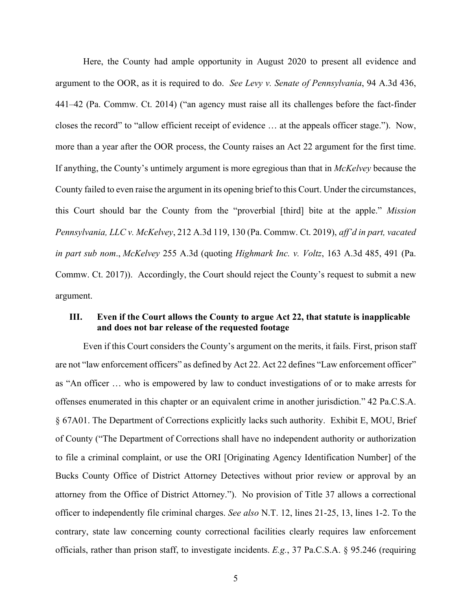Here, the County had ample opportunity in August 2020 to present all evidence and argument to the OOR, as it is required to do. *See Levy v. Senate of Pennsylvania*, 94 A.3d 436, 441–42 (Pa. Commw. Ct. 2014) ("an agency must raise all its challenges before the fact-finder closes the record" to "allow efficient receipt of evidence … at the appeals officer stage."). Now, more than a year after the OOR process, the County raises an Act 22 argument for the first time. If anything, the County's untimely argument is more egregious than that in *McKelvey* because the County failed to even raise the argument in its opening brief to this Court. Under the circumstances, this Court should bar the County from the "proverbial [third] bite at the apple." *Mission Pennsylvania, LLC v. McKelvey*, 212 A.3d 119, 130 (Pa. Commw. Ct. 2019), *aff'd in part, vacated in part sub nom*., *McKelvey* 255 A.3d (quoting *Highmark Inc. v. Voltz*, 163 A.3d 485, 491 (Pa. Commw. Ct. 2017)). Accordingly, the Court should reject the County's request to submit a new argument.

## **III. Even if the Court allows the County to argue Act 22, that statute is inapplicable and does not bar release of the requested footage**

Even if this Court considers the County's argument on the merits, it fails. First, prison staff are not "law enforcement officers" as defined by Act 22. Act 22 defines "Law enforcement officer" as "An officer … who is empowered by law to conduct investigations of or to make arrests for offenses enumerated in this chapter or an equivalent crime in another jurisdiction." 42 Pa.C.S.A. § 67A01. The Department of Corrections explicitly lacks such authority. Exhibit E, MOU, Brief of County ("The Department of Corrections shall have no independent authority or authorization to file a criminal complaint, or use the ORI [Originating Agency Identification Number] of the Bucks County Office of District Attorney Detectives without prior review or approval by an attorney from the Office of District Attorney."). No provision of Title 37 allows a correctional officer to independently file criminal charges. *See also* N.T. 12, lines 21-25, 13, lines 1-2. To the contrary, state law concerning county correctional facilities clearly requires law enforcement officials, rather than prison staff, to investigate incidents. *E.g.*, 37 Pa.C.S.A. § 95.246 (requiring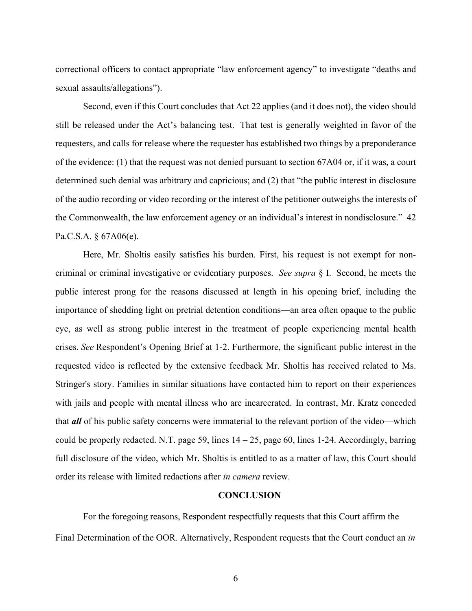correctional officers to contact appropriate "law enforcement agency" to investigate "deaths and sexual assaults/allegations").

Second, even if this Court concludes that Act 22 applies (and it does not), the video should still be released under the Act's balancing test. That test is generally weighted in favor of the requesters, and calls for release where the requester has established two things by a preponderance of the evidence: (1) that the request was not denied pursuant to section 67A04 or, if it was, a court determined such denial was arbitrary and capricious; and (2) that "the public interest in disclosure of the audio recording or video recording or the interest of the petitioner outweighs the interests of the Commonwealth, the law enforcement agency or an individual's interest in nondisclosure." 42 Pa.C.S.A. § 67A06(e).

Here, Mr. Sholtis easily satisfies his burden. First, his request is not exempt for noncriminal or criminal investigative or evidentiary purposes. *See supra* § I. Second, he meets the public interest prong for the reasons discussed at length in his opening brief, including the importance of shedding light on pretrial detention conditions—an area often opaque to the public eye, as well as strong public interest in the treatment of people experiencing mental health crises. *See* Respondent's Opening Brief at 1-2. Furthermore, the significant public interest in the requested video is reflected by the extensive feedback Mr. Sholtis has received related to Ms. Stringer's story. Families in similar situations have contacted him to report on their experiences with jails and people with mental illness who are incarcerated*.* In contrast, Mr. Kratz conceded that *all* of his public safety concerns were immaterial to the relevant portion of the video—which could be properly redacted. N.T. page 59, lines  $14 - 25$ , page 60, lines 1-24. Accordingly, barring full disclosure of the video, which Mr. Sholtis is entitled to as a matter of law, this Court should order its release with limited redactions after *in camera* review.

#### **CONCLUSION**

For the foregoing reasons, Respondent respectfully requests that this Court affirm the Final Determination of the OOR. Alternatively, Respondent requests that the Court conduct an *in*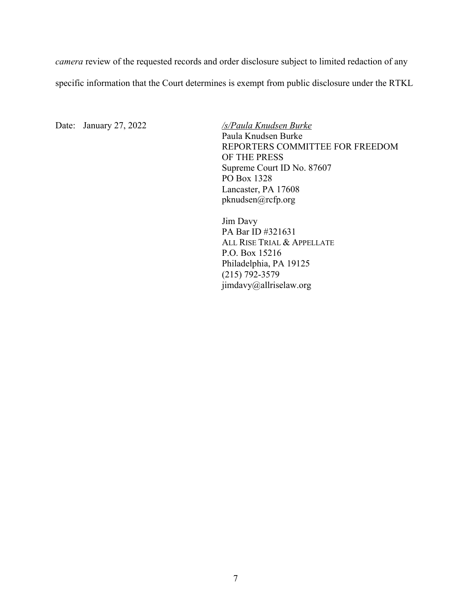*camera* review of the requested records and order disclosure subject to limited redaction of any specific information that the Court determines is exempt from public disclosure under the RTKL

Date: January 27, 2022 */s/Paula Knudsen Burke*

Paula Knudsen Burke REPORTERS COMMITTEE FOR FREEDOM OF THE PRESS Supreme Court ID No. 87607 PO Box 1328 Lancaster, PA 17608 pknudsen@rcfp.org

Jim Davy PA Bar ID #321631 ALL RISE TRIAL & APPELLATE P.O. Box 15216 Philadelphia, PA 19125 (215) 792-3579 jimdavy@allriselaw.org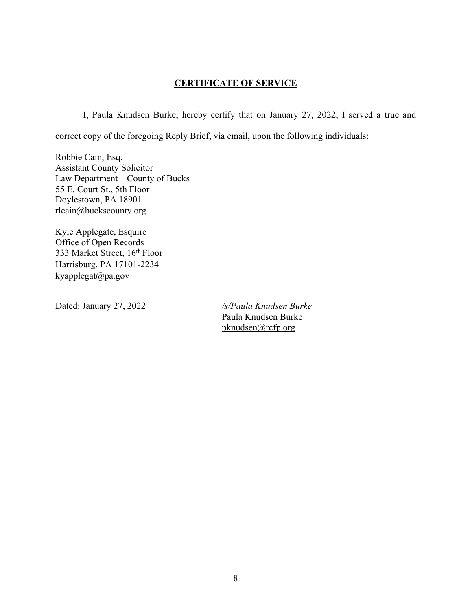# **CERTIFICATE OF SERVICE**

I, Paula Knudsen Burke, hereby certify that on January 27, 2022, I served a true and correct copy of the foregoing Reply Brief, via email, upon the following individuals:

Robbie Cain, Esq. Assistant County Solicitor Law Department – County of Bucks 55 E. Court St., 5th Floor Doylestown, PA 18901 rlcain@buckscounty.org

Kyle Applegate, Esquire Office of Open Records 333 Market Street, 16th Floor Harrisburg, PA 17101-2234  $kyapplegat@pa.gov$ 

Dated: January 27, 2022 */s/Paula Knudsen Burke* Paula Knudsen Burke pknudsen@rcfp.org